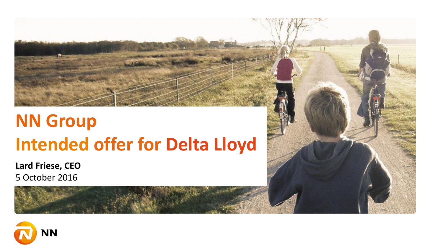# **NN Group Intended offer for Delta Lloyd**

**Lard Friese, CEO** 5 October 2016



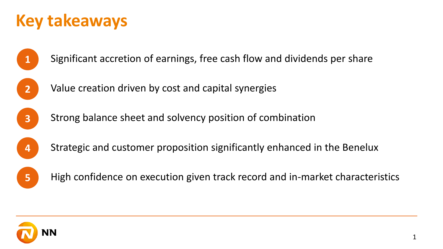#### **Key takeaways**



**1** Significant accretion of earnings, free cash flow and dividends per share



Value creation driven by cost and capital synergies



Strong balance sheet and solvency position of combination



Strategic and customer proposition significantly enhanced in the Benelux



**5** High confidence on execution given track record and in-market characteristics

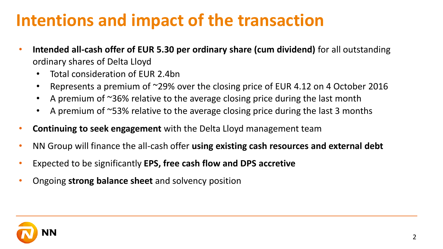### **Intentions and impact of the transaction**

- **Intended all-cash offer of EUR 5.30 per ordinary share (cum dividend)** for all outstanding ordinary shares of Delta Lloyd
	- Total consideration of EUR 2.4bn
	- Represents a premium of ~29% over the closing price of EUR 4.12 on 4 October 2016
	- A premium of ~36% relative to the average closing price during the last month
	- A premium of ~53% relative to the average closing price during the last 3 months
- **Continuing to seek engagement** with the Delta Lloyd management team
- NN Group will finance the all-cash offer **using existing cash resources and external debt**
- Expected to be significantly **EPS, free cash flow and DPS accretive**
- Ongoing **strong balance sheet** and solvency position

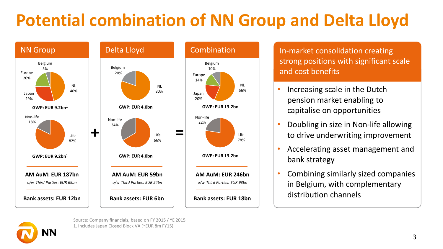# **Potential combination of NN Group and Delta Lloyd**





In-market consolidation creating strong positions with significant scale and cost benefits

- Increasing scale in the Dutch pension market enabling to capitalise on opportunities
- Doubling in size in Non-life allowing to drive underwriting improvement
- Accelerating asset management and bank strategy
- Combining similarly sized companies in Belgium, with complementary distribution channels



Source: Company financials, based on FY 2015 / YE 2015 1. Includes Japan Closed Block VA (~EUR 8m FY15)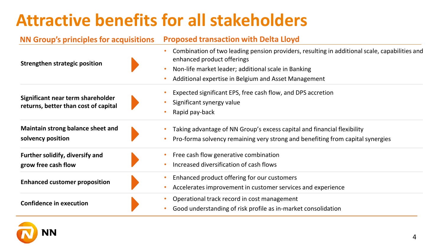## **Attractive benefits for all stakeholders**

#### **NN Group's principles for acquisitions Proposed transaction with Delta Lloyd**

| Strengthen strategic position                                             | Combination of two leading pension providers, resulting in additional scale, capabilities and<br>enhanced product offerings<br>Non-life market leader; additional scale in Banking<br>Additional expertise in Belgium and Asset Management |
|---------------------------------------------------------------------------|--------------------------------------------------------------------------------------------------------------------------------------------------------------------------------------------------------------------------------------------|
| Significant near term shareholder<br>returns, better than cost of capital | Expected significant EPS, free cash flow, and DPS accretion<br>Significant synergy value<br>Rapid pay-back                                                                                                                                 |
| Maintain strong balance sheet and<br>solvency position                    | Taking advantage of NN Group's excess capital and financial flexibility<br>Pro-forma solvency remaining very strong and benefiting from capital synergies                                                                                  |
| Further solidify, diversify and<br>grow free cash flow                    | Free cash flow generative combination<br>Increased diversification of cash flows                                                                                                                                                           |
| <b>Enhanced customer proposition</b>                                      | Enhanced product offering for our customers<br>Accelerates improvement in customer services and experience                                                                                                                                 |
| <b>Confidence in execution</b>                                            | Operational track record in cost management<br>Good understanding of risk profile as in-market consolidation                                                                                                                               |

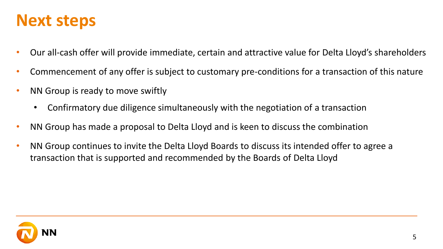#### **Next steps**

- Our all-cash offer will provide immediate, certain and attractive value for Delta Lloyd's shareholders
- Commencement of any offer is subject to customary pre-conditions for a transaction of this nature
- NN Group is ready to move swiftly
	- Confirmatory due diligence simultaneously with the negotiation of a transaction
- NN Group has made a proposal to Delta Lloyd and is keen to discuss the combination
- NN Group continues to invite the Delta Lloyd Boards to discuss its intended offer to agree a transaction that is supported and recommended by the Boards of Delta Lloyd

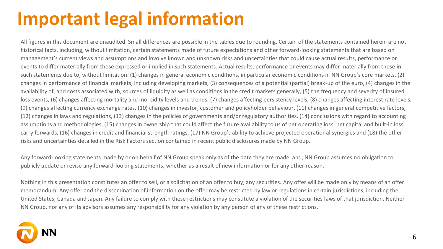# **Important legal information**

All figures in this document are unaudited. Small differences are possible in the tables due to rounding. Certain of the statements contained herein are not historical facts, including, without limitation, certain statements made of future expectations and other forward-looking statements that are based on management's current views and assumptions and involve known and unknown risks and uncertainties that could cause actual results, performance or events to differ materially from those expressed or implied in such statements. Actual results, performance or events may differ materially from those in such statements due to, without limitation: (1) changes in general economic conditions, in particular economic conditions in NN Group's core markets, (2) changes in performance of financial markets, including developing markets, (3) consequences of a potential (partial) break-up of the euro, (4) changes in the availability of, and costs associated with, sources of liquidity as well as conditions in the credit markets generally, (5) the frequency and severity of insured loss events, (6) changes affecting mortality and morbidity levels and trends, (7) changes affecting persistency levels, (8) changes affecting interest rate levels, (9) changes affecting currency exchange rates, (10) changes in investor, customer and policyholder behaviour, (11) changes in general competitive factors, (12) changes in laws and regulations, (13) changes in the policies of governments and/or regulatory authorities, (14) conclusions with regard to accounting assumptions and methodologies, (15) changes in ownership that could affect the future availability to us of net operating loss, net capital and built-in loss carry forwards, (16) changes in credit and financial strength ratings, (17) NN Group's ability to achieve projected operational synergies and (18) the other risks and uncertainties detailed in the Risk Factors section contained in recent public disclosures made by NN Group.

Any forward-looking statements made by or on behalf of NN Group speak only as of the date they are made, and, NN Group assumes no obligation to publicly update or revise any forward-looking statements, whether as a result of new information or for any other reason.

Nothing in this presentation constitutes an offer to sell, or a solicitation of an offer to buy, any securities. Any offer will be made only by means of an offer memorandum. Any offer and the dissemination of information on the offer may be restricted by law or regulations in certain jurisdictions, including the United States, Canada and Japan. Any failure to comply with these restrictions may constitute a violation of the securities laws of that jurisdiction. Neither NN Group, nor any of its advisors assumes any responsibility for any violation by any person of any of these restrictions.